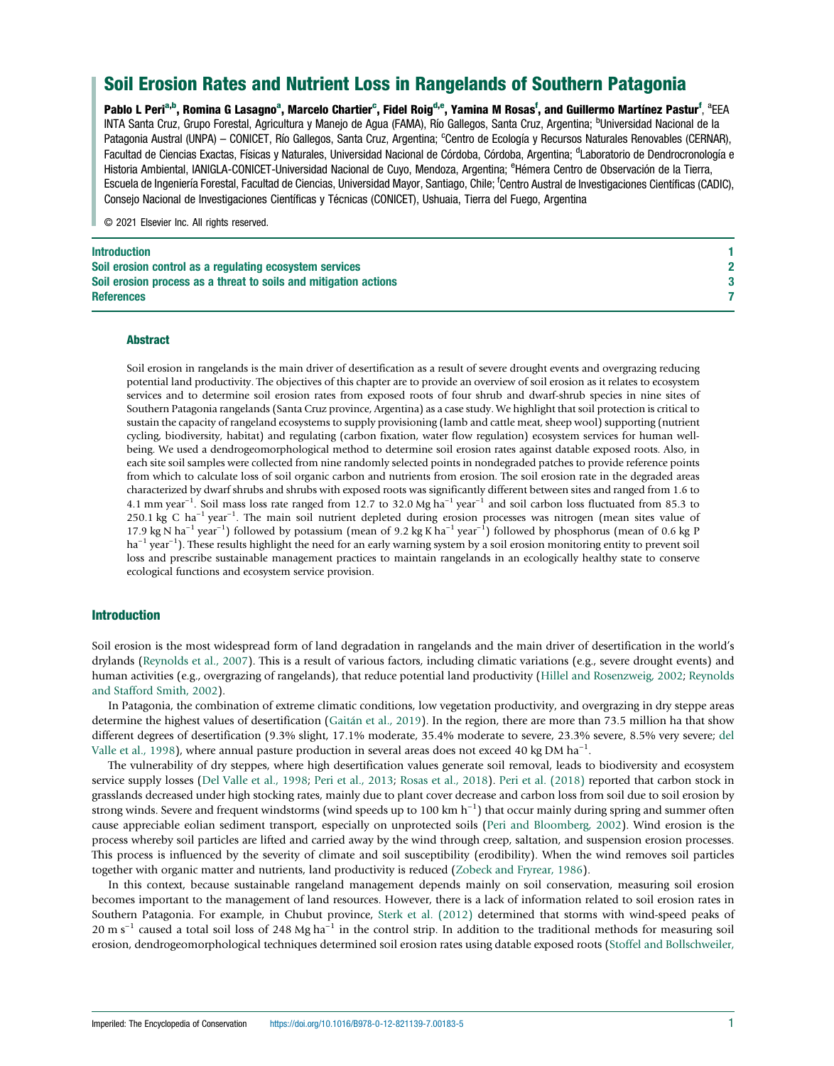# Soil Erosion Rates and Nutrient Loss in Rangelands of Southern Patagonia

Pablo L Peri<sup>a,b</sup>, Romina G Lasagno<sup>a</sup>, Marcelo Chartier<sup>c</sup>, Fidel Roig<sup>d,e</sup>, Yamina M Rosas<sup>f</sup>, and Guillermo Martínez Pastur<sup>f</sup>, <sup>a</sup>EEA INTA Santa Cruz, Grupo Forestal, Agricultura y Manejo de Agua (FAMA), Río Gallegos, Santa Cruz, Argentina; <sup>b</sup>Universidad Nacional de la Patagonia Austral (UNPA) – CONICET, Río Gallegos, Santa Cruz, Argentina; <sup>c</sup>Centro de Ecología y Recursos Naturales Renovables (CERNAR), Facultad de Ciencias Exactas, Físicas y Naturales, Universidad Nacional de Córdoba, Córdoba, Argentina; <sup>d</sup>Laboratorio de Dendrocronología e Historia Ambiental, IANIGLA-CONICET-Universidad Nacional de Cuyo, Mendoza, Argentina; <sup>e</sup>Hémera Centro de Observación de la Tierra, Escuela de Ingeniería Forestal, Facultad de Ciencias, Universidad Mayor, Santiago, Chile; <sup>f</sup>Centro Austral de Investigaciones Científicas (CADIC), Consejo Nacional de Investigaciones Científicas y Técnicas (CONICET), Ushuaia, Tierra del Fuego, Argentina

© 2021 Elsevier Inc. All rights reserved.

| Introduction                                                     |  |
|------------------------------------------------------------------|--|
| Soil erosion control as a regulating ecosystem services          |  |
| Soil erosion process as a threat to soils and mitigation actions |  |
| <b>References</b>                                                |  |
|                                                                  |  |

#### Abstract

Soil erosion in rangelands is the main driver of desertification as a result of severe drought events and overgrazing reducing potential land productivity. The objectives of this chapter are to provide an overview of soil erosion as it relates to ecosystem services and to determine soil erosion rates from exposed roots of four shrub and dwarf-shrub species in nine sites of Southern Patagonia rangelands (Santa Cruz province, Argentina) as a case study. We highlight that soil protection is critical to sustain the capacity of rangeland ecosystems to supply provisioning (lamb and cattle meat, sheep wool) supporting (nutrient cycling, biodiversity, habitat) and regulating (carbon fixation, water flow regulation) ecosystem services for human wellbeing. We used a dendrogeomorphological method to determine soil erosion rates against datable exposed roots. Also, in each site soil samples were collected from nine randomly selected points in nondegraded patches to provide reference points from which to calculate loss of soil organic carbon and nutrients from erosion. The soil erosion rate in the degraded areas characterized by dwarf shrubs and shrubs with exposed roots was significantly different between sites and ranged from 1.6 to 4.1 mm year<sup>-1</sup>. Soil mass loss rate ranged from 12.7 to 32.0 Mg ha<sup>-1</sup> year<sup>-1</sup> and soil carbon loss fluctuated from 85.3 to 250.1 kg C ha<sup>-1</sup> year<sup>-1</sup>. The main soil nutrient depleted during erosion processes was nitrogen (mean sites value of 17.9 kg N ha<sup>-1</sup> year<sup>-1</sup>) followed by potassium (mean of 9.2 kg K ha<sup>-1</sup> year<sup>-1</sup>) followed by phosphorus (mean of 0.6 kg P ha<sup>-1</sup> year<sup>-1</sup>). These results highlight the need for an early warning system by a soil erosion monitoring entity to prevent soil loss and prescribe sustainable management practices to maintain rangelands in an ecologically healthy state to conserve ecological functions and ecosystem service provision.

### Introduction

Soil erosion is the most widespread form of land degradation in rangelands and the main driver of desertification in the world's drylands ([Reynolds et al., 2007](#page-7-0)). This is a result of various factors, including climatic variations (e.g., severe drought events) and human activities (e.g., overgrazing of rangelands), that reduce potential land productivity ([Hillel and Rosenzweig, 2002](#page-7-0); [Reynolds](#page-7-0) [and Stafford Smith, 2002\)](#page-7-0).

In Patagonia, the combination of extreme climatic conditions, low vegetation productivity, and overgrazing in dry steppe areas determine the highest values of desertification ([Gaitán et al., 2019](#page-7-0)). In the region, there are more than 73.5 million ha that show different degrees of desertification (9.3% slight, 17.1% moderate, 35.4% moderate to severe, 23.3% severe, 8.5% very severe; [del](#page-7-0) [Valle et al., 1998\)](#page-7-0), where annual pasture production in several areas does not exceed 40 kg DM ha<sup>-1</sup>.

The vulnerability of dry steppes, where high desertification values generate soil removal, leads to biodiversity and ecosystem service supply losses [\(Del Valle et al., 1998;](#page-7-0) [Peri et al., 2013;](#page-7-0) [Rosas et al., 2018](#page-7-0)). [Peri et al. \(2018\)](#page-7-0) reported that carbon stock in grasslands decreased under high stocking rates, mainly due to plant cover decrease and carbon loss from soil due to soil erosion by strong winds. Severe and frequent windstorms (wind speeds up to 100 km h<sup>-1</sup>) that occur mainly during spring and summer often cause appreciable eolian sediment transport, especially on unprotected soils ([Peri and Bloomberg, 2002](#page-7-0)). Wind erosion is the process whereby soil particles are lifted and carried away by the wind through creep, saltation, and suspension erosion processes. This process is influenced by the severity of climate and soil susceptibility (erodibility). When the wind removes soil particles together with organic matter and nutrients, land productivity is reduced ([Zobeck and Fryrear, 1986\)](#page-7-0).

In this context, because sustainable rangeland management depends mainly on soil conservation, measuring soil erosion becomes important to the management of land resources. However, there is a lack of information related to soil erosion rates in Southern Patagonia. For example, in Chubut province, [Sterk et al. \(2012\)](#page-7-0) determined that storms with wind-speed peaks of 20 m s<sup>-1</sup> caused a total soil loss of 248 Mg ha<sup>-1</sup> in the control strip. In addition to the traditional methods for measuring soil erosion, dendrogeomorphological techniques determined soil erosion rates using datable exposed roots [\(Stoffel and Bollschweiler,](#page-7-0)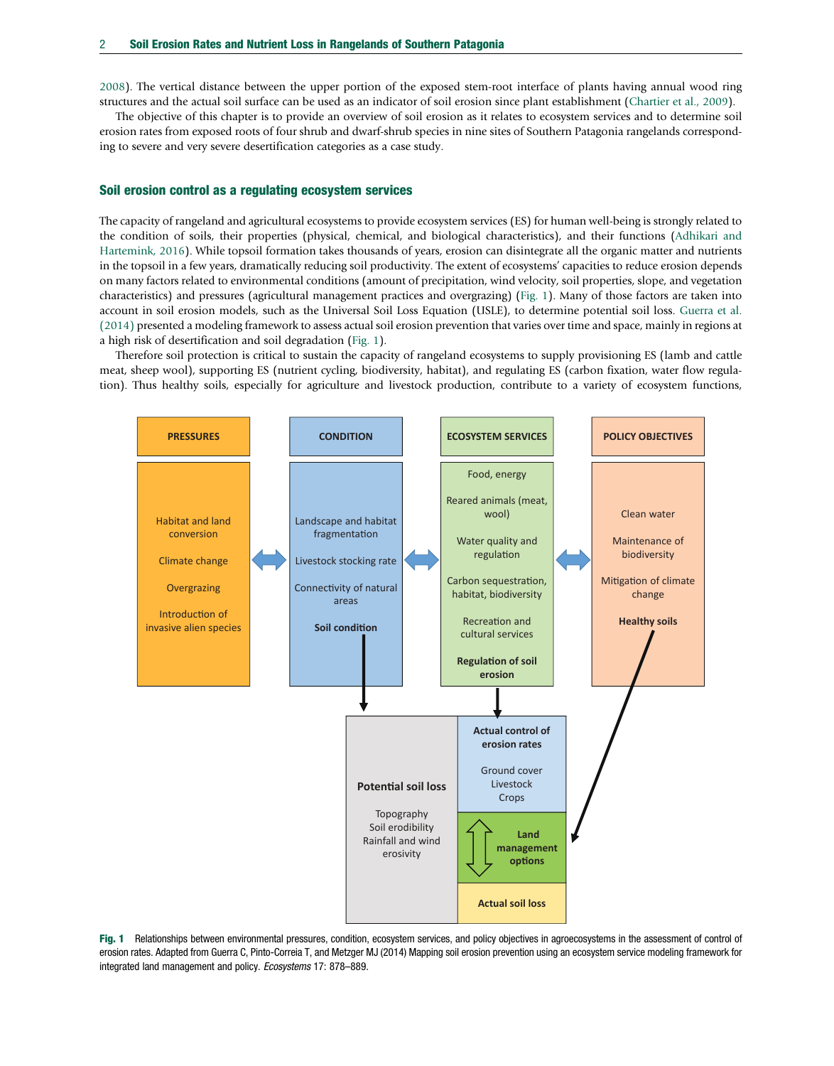<span id="page-1-0"></span>[2008\)](#page-7-0). The vertical distance between the upper portion of the exposed stem-root interface of plants having annual wood ring structures and the actual soil surface can be used as an indicator of soil erosion since plant establishment ([Chartier et al., 2009\)](#page-7-0).

The objective of this chapter is to provide an overview of soil erosion as it relates to ecosystem services and to determine soil erosion rates from exposed roots of four shrub and dwarf-shrub species in nine sites of Southern Patagonia rangelands corresponding to severe and very severe desertification categories as a case study.

#### Soil erosion control as a regulating ecosystem services

The capacity of rangeland and agricultural ecosystems to provide ecosystem services (ES) for human well-being is strongly related to the condition of soils, their properties (physical, chemical, and biological characteristics), and their functions ([Adhikari and](#page-6-0) [Hartemink, 2016\)](#page-6-0). While topsoil formation takes thousands of years, erosion can disintegrate all the organic matter and nutrients in the topsoil in a few years, dramatically reducing soil productivity. The extent of ecosystems' capacities to reduce erosion depends on many factors related to environmental conditions (amount of precipitation, wind velocity, soil properties, slope, and vegetation characteristics) and pressures (agricultural management practices and overgrazing) (Fig. 1). Many of those factors are taken into account in soil erosion models, such as the Universal Soil Loss Equation (USLE), to determine potential soil loss. [Guerra et al.](#page-7-0) [\(2014\)](#page-7-0) presented a modeling framework to assess actual soil erosion prevention that varies over time and space, mainly in regions at a high risk of desertification and soil degradation (Fig. 1).

Therefore soil protection is critical to sustain the capacity of rangeland ecosystems to supply provisioning ES (lamb and cattle meat, sheep wool), supporting ES (nutrient cycling, biodiversity, habitat), and regulating ES (carbon fixation, water flow regulation). Thus healthy soils, especially for agriculture and livestock production, contribute to a variety of ecosystem functions,



Fig. 1 Relationships between environmental pressures, condition, ecosystem services, and policy objectives in agroecosystems in the assessment of control of erosion rates. Adapted from Guerra C, Pinto-Correia T, and Metzger MJ (2014) Mapping soil erosion prevention using an ecosystem service modeling framework for integrated land management and policy. Ecosystems 17: 878–889.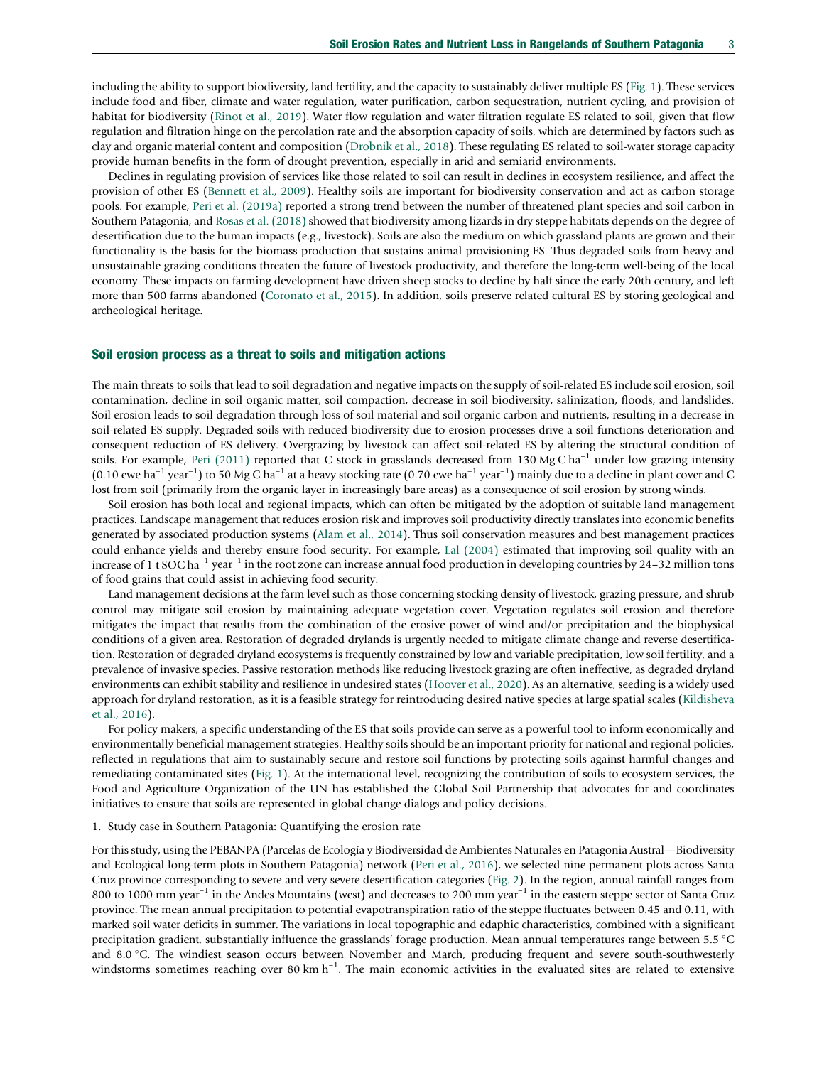including the ability to support biodiversity, land fertility, and the capacity to sustainably deliver multiple ES ([Fig. 1](#page-1-0)). These services include food and fiber, climate and water regulation, water purification, carbon sequestration, nutrient cycling, and provision of habitat for biodiversity ([Rinot et al., 2019\)](#page-7-0). Water flow regulation and water filtration regulate ES related to soil, given that flow regulation and filtration hinge on the percolation rate and the absorption capacity of soils, which are determined by factors such as clay and organic material content and composition ([Drobnik et al., 2018\)](#page-7-0). These regulating ES related to soil-water storage capacity provide human benefits in the form of drought prevention, especially in arid and semiarid environments.

Declines in regulating provision of services like those related to soil can result in declines in ecosystem resilience, and affect the provision of other ES ([Bennett et al., 2009\)](#page-7-0). Healthy soils are important for biodiversity conservation and act as carbon storage pools. For example, [Peri et al. \(2019a\)](#page-7-0) reported a strong trend between the number of threatened plant species and soil carbon in Southern Patagonia, and [Rosas et al. \(2018\)](#page-7-0) showed that biodiversity among lizards in dry steppe habitats depends on the degree of desertification due to the human impacts (e.g., livestock). Soils are also the medium on which grassland plants are grown and their functionality is the basis for the biomass production that sustains animal provisioning ES. Thus degraded soils from heavy and unsustainable grazing conditions threaten the future of livestock productivity, and therefore the long-term well-being of the local economy. These impacts on farming development have driven sheep stocks to decline by half since the early 20th century, and left more than 500 farms abandoned ([Coronato et al., 2015](#page-7-0)). In addition, soils preserve related cultural ES by storing geological and archeological heritage.

#### Soil erosion process as a threat to soils and mitigation actions

The main threats to soils that lead to soil degradation and negative impacts on the supply of soil-related ES include soil erosion, soil contamination, decline in soil organic matter, soil compaction, decrease in soil biodiversity, salinization, floods, and landslides. Soil erosion leads to soil degradation through loss of soil material and soil organic carbon and nutrients, resulting in a decrease in soil-related ES supply. Degraded soils with reduced biodiversity due to erosion processes drive a soil functions deterioration and consequent reduction of ES delivery. Overgrazing by livestock can affect soil-related ES by altering the structural condition of soils. For example, [Peri \(2011\)](#page-7-0) reported that C stock in grasslands decreased from 130 Mg C ha<sup>−1</sup> under low grazing intensity (0.10 ewe ha<sup>-1</sup> year<sup>-1</sup>) to 50 Mg C ha<sup>-1</sup> at a heavy stocking rate (0.70 ewe ha<sup>-1</sup> year<sup>-1</sup>) mainly due to a decline in plant cover and C lost from soil (primarily from the organic layer in increasingly bare areas) as a consequence of soil erosion by strong winds.

Soil erosion has both local and regional impacts, which can often be mitigated by the adoption of suitable land management practices. Landscape management that reduces erosion risk and improves soil productivity directly translates into economic benefits generated by associated production systems ([Alam et al., 2014\)](#page-6-0). Thus soil conservation measures and best management practices could enhance yields and thereby ensure food security. For example, [Lal \(2004\)](#page-7-0) estimated that improving soil quality with an increase of 1 t SOC ha<sup>-1</sup> year<sup>-1</sup> in the root zone can increase annual food production in developing countries by 24–32 million tons of food grains that could assist in achieving food security.

Land management decisions at the farm level such as those concerning stocking density of livestock, grazing pressure, and shrub control may mitigate soil erosion by maintaining adequate vegetation cover. Vegetation regulates soil erosion and therefore mitigates the impact that results from the combination of the erosive power of wind and/or precipitation and the biophysical conditions of a given area. Restoration of degraded drylands is urgently needed to mitigate climate change and reverse desertification. Restoration of degraded dryland ecosystems is frequently constrained by low and variable precipitation, low soil fertility, and a prevalence of invasive species. Passive restoration methods like reducing livestock grazing are often ineffective, as degraded dryland environments can exhibit stability and resilience in undesired states ([Hoover et al., 2020](#page-7-0)). As an alternative, seeding is a widely used approach for dryland restoration, as it is a feasible strategy for reintroducing desired native species at large spatial scales [\(Kildisheva](#page-7-0) [et al., 2016](#page-7-0)).

For policy makers, a specific understanding of the ES that soils provide can serve as a powerful tool to inform economically and environmentally beneficial management strategies. Healthy soils should be an important priority for national and regional policies, reflected in regulations that aim to sustainably secure and restore soil functions by protecting soils against harmful changes and remediating contaminated sites ([Fig. 1\)](#page-1-0). At the international level, recognizing the contribution of soils to ecosystem services, the Food and Agriculture Organization of the UN has established the Global Soil Partnership that advocates for and coordinates initiatives to ensure that soils are represented in global change dialogs and policy decisions.

#### 1. Study case in Southern Patagonia: Quantifying the erosion rate

For this study, using the PEBANPA (Parcelas de Ecología y Biodiversidad de Ambientes Naturales en Patagonia Austral—Biodiversity and Ecological long-term plots in Southern Patagonia) network ([Peri et al., 2016](#page-7-0)), we selected nine permanent plots across Santa Cruz province corresponding to severe and very severe desertification categories [\(Fig. 2](#page-3-0)). In the region, annual rainfall ranges from 800 to 1000 mm year<sup>-1</sup> in the Andes Mountains (west) and decreases to 200 mm year<sup>-1</sup> in the eastern steppe sector of Santa Cruz province. The mean annual precipitation to potential evapotranspiration ratio of the steppe fluctuates between 0.45 and 0.11, with marked soil water deficits in summer. The variations in local topographic and edaphic characteristics, combined with a significant precipitation gradient, substantially influence the grasslands' forage production. Mean annual temperatures range between 5.5 °C and 8.0 °C. The windiest season occurs between November and March, producing frequent and severe south-southwesterly windstorms sometimes reaching over 80 km h<sup>-1</sup>. The main economic activities in the evaluated sites are related to extensive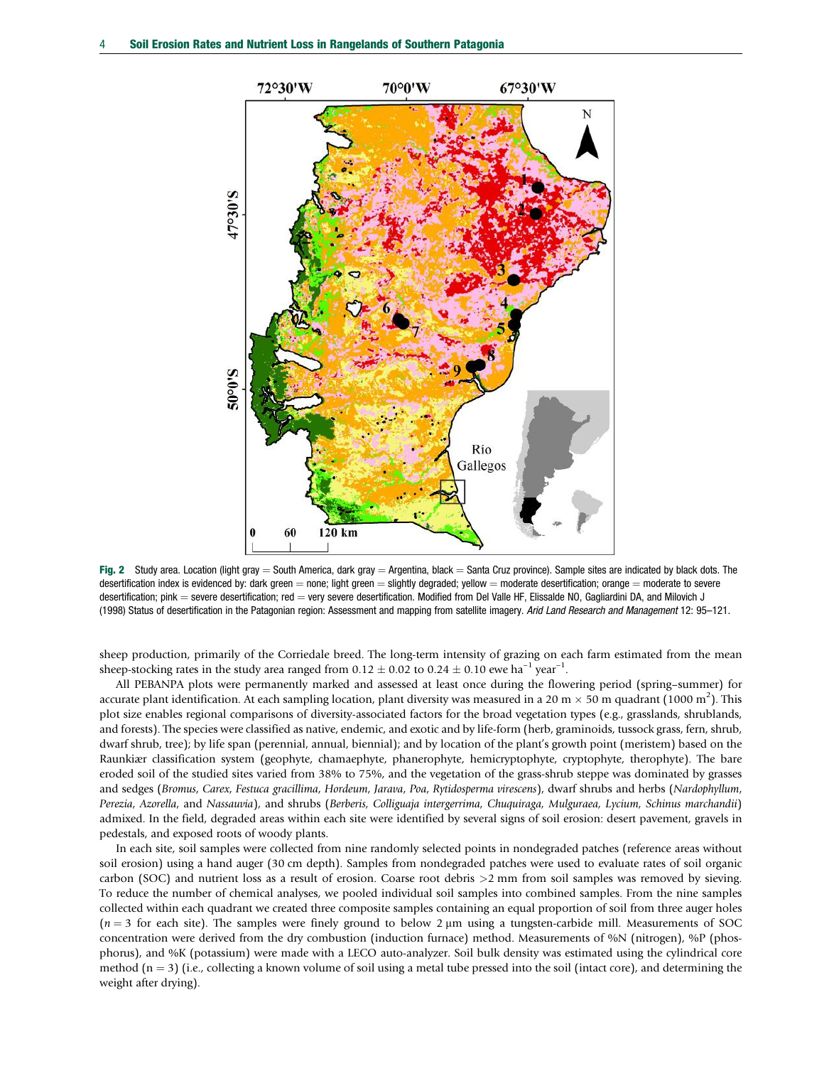<span id="page-3-0"></span>

Fig. 2 Study area. Location (light gray = South America, dark gray = Argentina, black = Santa Cruz province). Sample sites are indicated by black dots. The desertification index is evidenced by: dark green  $=$  none; light green  $=$  slightly degraded; vellow  $=$  moderate desertification; orange  $=$  moderate to severe desertification; pink = severe desertification; red = very severe desertification. Modified from Del Valle HF, Elissalde NO, Gagliardini DA, and Milovich J (1998) Status of desertification in the Patagonian region: Assessment and mapping from satellite imagery. Arid Land Research and Management 12: 95–121.

sheep production, primarily of the Corriedale breed. The long-term intensity of grazing on each farm estimated from the mean sheep-stocking rates in the study area ranged from  $0.12 \pm 0.02$  to  $0.24 \pm 0.10$  ewe ha<sup>-1</sup> year<sup>-1</sup>.

All PEBANPA plots were permanently marked and assessed at least once during the flowering period (spring–summer) for accurate plant identification. At each sampling location, plant diversity was measured in a 20 m  $\times$  50 m quadrant (1000 m<sup>2</sup>). This plot size enables regional comparisons of diversity-associated factors for the broad vegetation types (e.g., grasslands, shrublands, and forests). The species were classified as native, endemic, and exotic and by life-form (herb, graminoids, tussock grass, fern, shrub, dwarf shrub, tree); by life span (perennial, annual, biennial); and by location of the plant's growth point (meristem) based on the Raunkiær classification system (geophyte, chamaephyte, phanerophyte, hemicryptophyte, cryptophyte, therophyte). The bare eroded soil of the studied sites varied from 38% to 75%, and the vegetation of the grass-shrub steppe was dominated by grasses and sedges (Bromus, Carex, Festuca gracillima, Hordeum, Jarava, Poa, Rytidosperma virescens), dwarf shrubs and herbs (Nardophyllum, Perezia, Azorella, and Nassauvia), and shrubs (Berberis, Colliguaja intergerrima, Chuquiraga, Mulguraea, Lycium, Schinus marchandii) admixed. In the field, degraded areas within each site were identified by several signs of soil erosion: desert pavement, gravels in pedestals, and exposed roots of woody plants.

In each site, soil samples were collected from nine randomly selected points in nondegraded patches (reference areas without soil erosion) using a hand auger (30 cm depth). Samples from nondegraded patches were used to evaluate rates of soil organic carbon (SOC) and nutrient loss as a result of erosion. Coarse root debris >2 mm from soil samples was removed by sieving. To reduce the number of chemical analyses, we pooled individual soil samples into combined samples. From the nine samples collected within each quadrant we created three composite samples containing an equal proportion of soil from three auger holes  $(n = 3$  for each site). The samples were finely ground to below 2  $\mu$ m using a tungsten-carbide mill. Measurements of SOC concentration were derived from the dry combustion (induction furnace) method. Measurements of %N (nitrogen), %P (phosphorus), and %K (potassium) were made with a LECO auto-analyzer. Soil bulk density was estimated using the cylindrical core method  $(n = 3)$  (i.e., collecting a known volume of soil using a metal tube pressed into the soil (intact core), and determining the weight after drying).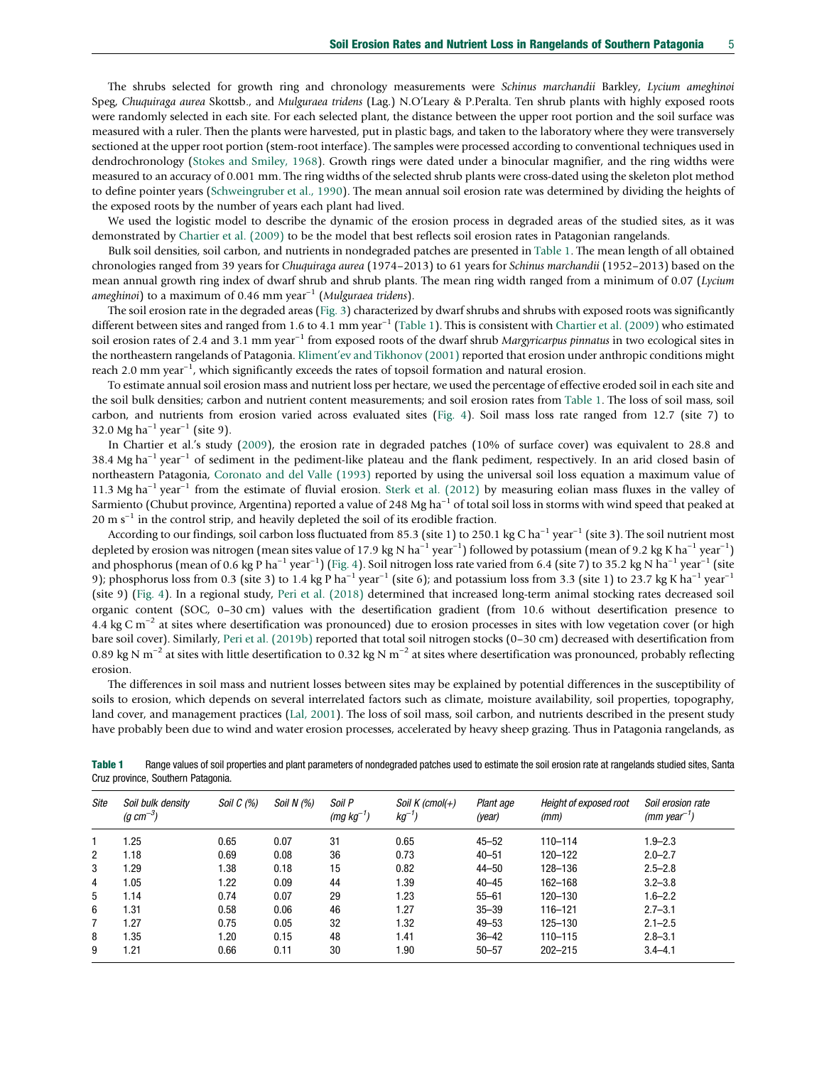The shrubs selected for growth ring and chronology measurements were Schinus marchandii Barkley, Lycium ameghinoi Speg, Chuquiraga aurea Skottsb., and Mulguraea tridens (Lag.) N.O'Leary & P.Peralta. Ten shrub plants with highly exposed roots were randomly selected in each site. For each selected plant, the distance between the upper root portion and the soil surface was measured with a ruler. Then the plants were harvested, put in plastic bags, and taken to the laboratory where they were transversely sectioned at the upper root portion (stem-root interface). The samples were processed according to conventional techniques used in dendrochronology ([Stokes and Smiley, 1968](#page-7-0)). Growth rings were dated under a binocular magnifier, and the ring widths were measured to an accuracy of 0.001 mm. The ring widths of the selected shrub plants were cross-dated using the skeleton plot method to define pointer years ([Schweingruber et al., 1990](#page-7-0)). The mean annual soil erosion rate was determined by dividing the heights of the exposed roots by the number of years each plant had lived.

We used the logistic model to describe the dynamic of the erosion process in degraded areas of the studied sites, as it was demonstrated by [Chartier et al. \(2009\)](#page-7-0) to be the model that best reflects soil erosion rates in Patagonian rangelands.

Bulk soil densities, soil carbon, and nutrients in nondegraded patches are presented in Table 1. The mean length of all obtained chronologies ranged from 39 years for Chuquiraga aurea (1974–2013) to 61 years for Schinus marchandii (1952–2013) based on the mean annual growth ring index of dwarf shrub and shrub plants. The mean ring width ranged from a minimum of 0.07 (Lycium ameghinoi) to a maximum of 0.46 mm year<sup>-1</sup> (Mulguraea tridens).

The soil erosion rate in the degraded areas ([Fig. 3](#page-5-0)) characterized by dwarf shrubs and shrubs with exposed roots was significantly different between sites and ranged from 1.6 to 4.1 mm year<sup>-1</sup> (Table 1). This is consistent with [Chartier et al. \(2009\)](#page-7-0) who estimated soil erosion rates of 2.4 and 3.1 mm year<sup>-1</sup> from exposed roots of the dwarf shrub Margyricarpus pinnatus in two ecological sites in the northeastern rangelands of Patagonia. Kliment'[ev and Tikhonov \(2001\)](#page-7-0) reported that erosion under anthropic conditions might reach 2.0 mm year<sup>-1</sup>, which significantly exceeds the rates of topsoil formation and natural erosion.

To estimate annual soil erosion mass and nutrient loss per hectare, we used the percentage of effective eroded soil in each site and the soil bulk densities; carbon and nutrient content measurements; and soil erosion rates from Table 1. The loss of soil mass, soil carbon, and nutrients from erosion varied across evaluated sites [\(Fig. 4\)](#page-6-0). Soil mass loss rate ranged from 12.7 (site 7) to 32.0 Mg ha<sup>-1</sup> year<sup>-1</sup> (site 9).

In Chartier et al.'s study ([2009](#page-7-0)), the erosion rate in degraded patches (10% of surface cover) was equivalent to 28.8 and 38.4 Mg ha<sup>−1</sup> year<sup>−1</sup> of sediment in the pediment-like plateau and the flank pediment, respectively. In an arid closed basin of northeastern Patagonia, [Coronato and del Valle \(1993\)](#page-7-0) reported by using the universal soil loss equation a maximum value of 11.3 Mg ha−<sup>1</sup> year−<sup>1</sup> from the estimate of fluvial erosion. [Sterk et al. \(2012\)](#page-7-0) by measuring eolian mass fluxes in the valley of Sarmiento (Chubut province, Argentina) reported a value of 248 Mg ha<sup>-1</sup> of total soil loss in storms with wind speed that peaked at  $20 \text{ m s}^{-1}$  in the control strip, and heavily depleted the soil of its erodible fraction.

According to our findings, soil carbon loss fluctuated from 85.3 (site 1) to 250.1 kg C ha<sup>-1</sup> year<sup>-1</sup> (site 3). The soil nutrient most depleted by erosion was nitrogen (mean sites value of 17.9 kg N ha<sup>-1</sup> year<sup>-1</sup>) followed by potassium (mean of 9.2 kg K ha<sup>-1</sup> year<sup>-1</sup>) and phosphorus (mean of 0.6 kg P ha<sup>-1</sup> year<sup>-1</sup>) ([Fig. 4\)](#page-6-0). Soil nitrogen loss rate varied from 6.4 (site 7) to 35.2 kg N ha<sup>-1</sup> year<sup>-1</sup> (site 9); phosphorus loss from 0.3 (site 3) to 1.4 kg P ha<sup>-1</sup> year<sup>-1</sup> (site 6); and potassium loss from 3.3 (site 1) to 23.7 kg K ha<sup>-1</sup> year<sup>-1</sup> (site 9) [\(Fig. 4\)](#page-6-0). In a regional study, [Peri et al. \(2018\)](#page-7-0) determined that increased long-term animal stocking rates decreased soil organic content (SOC, 0–30 cm) values with the desertification gradient (from 10.6 without desertification presence to 4.4 kg C m−<sup>2</sup> at sites where desertification was pronounced) due to erosion processes in sites with low vegetation cover (or high bare soil cover). Similarly, [Peri et al. \(2019b\)](#page-7-0) reported that total soil nitrogen stocks (0–30 cm) decreased with desertification from 0.89 kg N m−<sup>2</sup> at sites with little desertification to 0.32 kg N m−<sup>2</sup> at sites where desertification was pronounced, probably reflecting erosion.

The differences in soil mass and nutrient losses between sites may be explained by potential differences in the susceptibility of soils to erosion, which depends on several interrelated factors such as climate, moisture availability, soil properties, topography, land cover, and management practices ([Lal, 2001\)](#page-7-0). The loss of soil mass, soil carbon, and nutrients described in the present study have probably been due to wind and water erosion processes, accelerated by heavy sheep grazing. Thus in Patagonia rangelands, as

Table 1 Range values of soil properties and plant parameters of nondegraded patches used to estimate the soil erosion rate at rangelands studied sites, Santa Cruz province, Southern Patagonia.

| Site           | Soil bulk density<br>(g cm $^{-3}$ ) | Soil $C(%)$ | Soil N (%) | Soil P<br>(mg $kg^{-1}$ ) | Soil K $(cmol(+))$<br>kg <sup>-1</sup> ) | Plant age<br>(year) | Height of exposed root<br>(mm) | Soil erosion rate<br>$(mm \text{ year}^{-1})$ |
|----------------|--------------------------------------|-------------|------------|---------------------------|------------------------------------------|---------------------|--------------------------------|-----------------------------------------------|
|                | 1.25                                 | 0.65        | 0.07       | 31                        | 0.65                                     | $45 - 52$           | 110-114                        | $1.9 - 2.3$                                   |
| $\overline{2}$ | 1.18                                 | 0.69        | 0.08       | 36                        | 0.73                                     | $40 - 51$           | 120-122                        | $2.0 - 2.7$                                   |
| 3              | 1.29                                 | 1.38        | 0.18       | 15                        | 0.82                                     | $44 - 50$           | 128-136                        | $2.5 - 2.8$                                   |
| 4              | 1.05                                 | 1.22        | 0.09       | 44                        | 1.39                                     | $40 - 45$           | 162-168                        | $3.2 - 3.8$                                   |
| 5              | 1.14                                 | 0.74        | 0.07       | 29                        | 1.23                                     | $55 - 61$           | 120-130                        | $1.6 - 2.2$                                   |
| 6              | 1.31                                 | 0.58        | 0.06       | 46                        | 1.27                                     | $35 - 39$           | 116-121                        | $2.7 - 3.1$                                   |
| $\overline{7}$ | 1.27                                 | 0.75        | 0.05       | 32                        | 1.32                                     | $49 - 53$           | 125-130                        | $2.1 - 2.5$                                   |
| 8              | 1.35                                 | 1.20        | 0.15       | 48                        | 1.41                                     | $36 - 42$           | 110-115                        | $2.8 - 3.1$                                   |
| 9              | 1.21                                 | 0.66        | 0.11       | 30                        | 1.90                                     | $50 - 57$           | $202 - 215$                    | $3.4 - 4.1$                                   |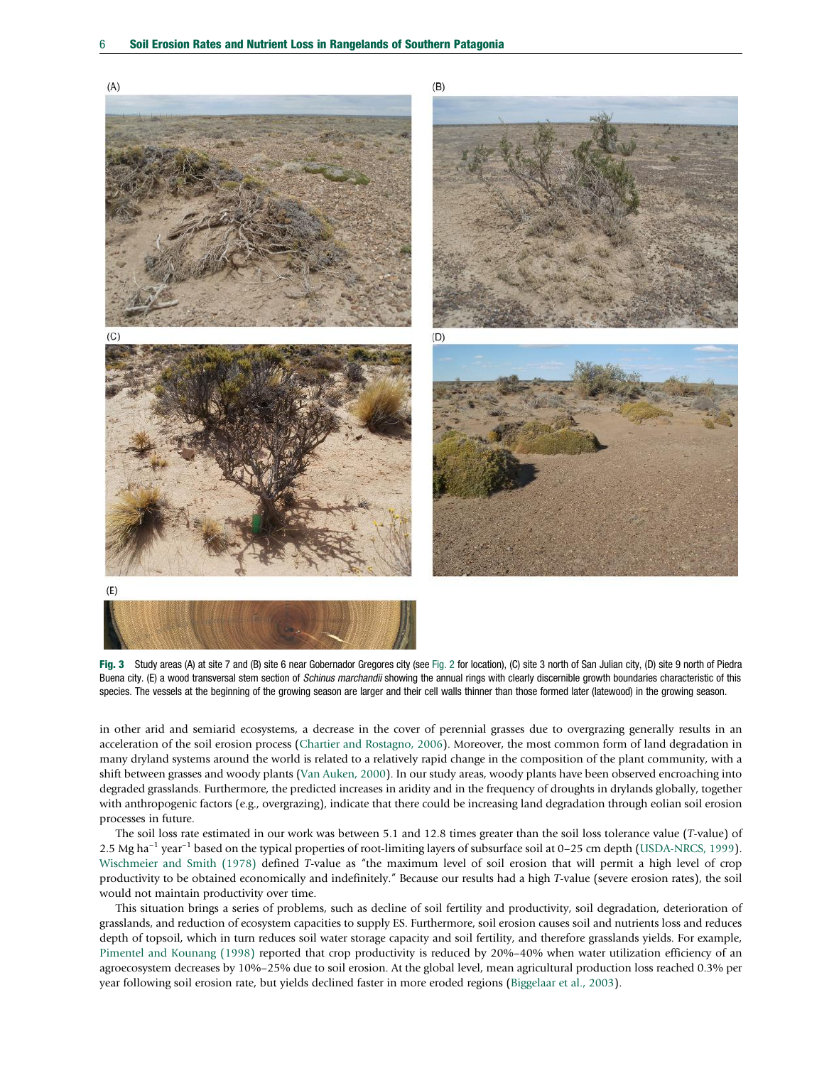<span id="page-5-0"></span>



in other arid and semiarid ecosystems, a decrease in the cover of perennial grasses due to overgrazing generally results in an acceleration of the soil erosion process ([Chartier and Rostagno, 2006](#page-7-0)). Moreover, the most common form of land degradation in many dryland systems around the world is related to a relatively rapid change in the composition of the plant community, with a shift between grasses and woody plants ([Van Auken, 2000](#page-7-0)). In our study areas, woody plants have been observed encroaching into degraded grasslands. Furthermore, the predicted increases in aridity and in the frequency of droughts in drylands globally, together with anthropogenic factors (e.g., overgrazing), indicate that there could be increasing land degradation through eolian soil erosion processes in future.

The soil loss rate estimated in our work was between 5.1 and 12.8 times greater than the soil loss tolerance value (T-value) of 2.5 Mg ha<sup>-1</sup> year<sup>-1</sup> based on the typical properties of root-limiting layers of subsurface soil at 0–25 cm depth ([USDA-NRCS, 1999](#page-7-0)). [Wischmeier and Smith \(1978\)](#page-7-0) defined T-value as "the maximum level of soil erosion that will permit a high level of crop productivity to be obtained economically and indefinitely." Because our results had a high T-value (severe erosion rates), the soil would not maintain productivity over time.

This situation brings a series of problems, such as decline of soil fertility and productivity, soil degradation, deterioration of grasslands, and reduction of ecosystem capacities to supply ES. Furthermore, soil erosion causes soil and nutrients loss and reduces depth of topsoil, which in turn reduces soil water storage capacity and soil fertility, and therefore grasslands yields. For example, [Pimentel and Kounang \(1998\)](#page-7-0) reported that crop productivity is reduced by 20%–40% when water utilization efficiency of an agroecosystem decreases by 10%–25% due to soil erosion. At the global level, mean agricultural production loss reached 0.3% per year following soil erosion rate, but yields declined faster in more eroded regions ([Biggelaar et al., 2003\)](#page-7-0).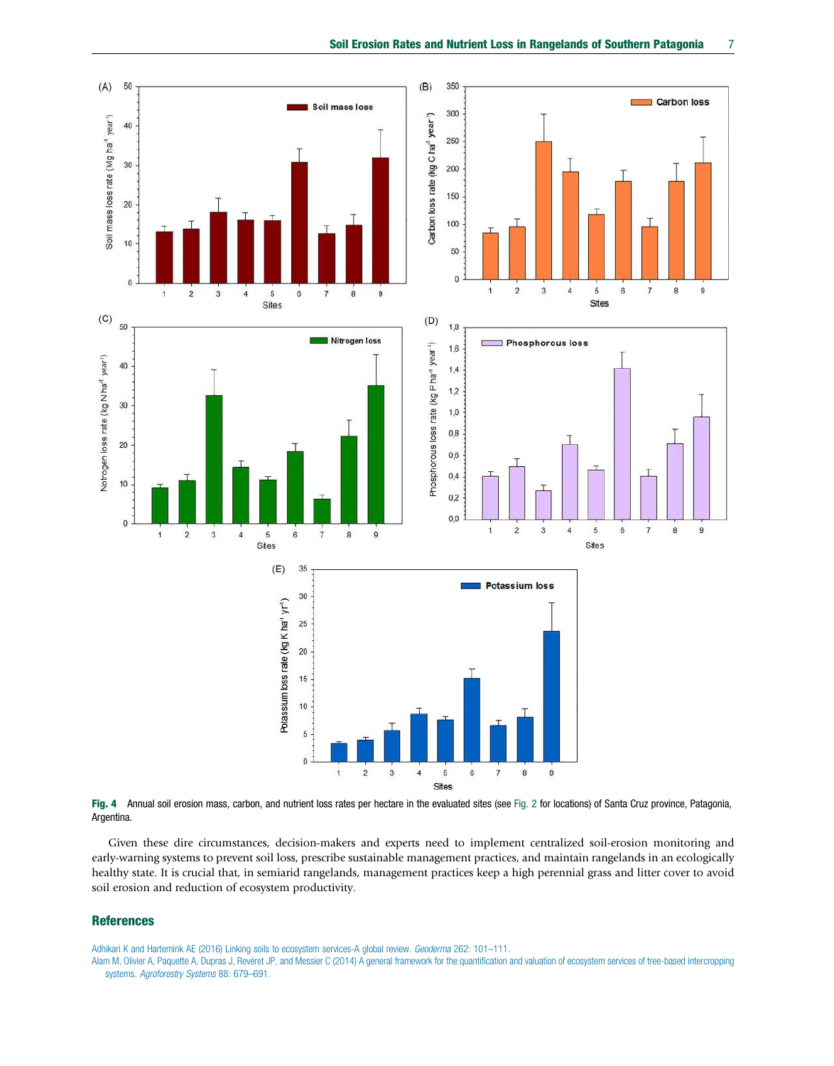<span id="page-6-0"></span>

Fig. 4 Annual soil erosion mass, carbon, and nutrient loss rates per hectare in the evaluated sites (see [Fig. 2](#page-3-0) for locations) of Santa Cruz province, Patagonia, Argentina.

Given these dire circumstances, decision-makers and experts need to implement centralized soil-erosion monitoring and early-warning systems to prevent soil loss, prescribe sustainable management practices, and maintain rangelands in an ecologically healthy state. It is crucial that, in semiarid rangelands, management practices keep a high perennial grass and litter cover to avoid soil erosion and reduction of ecosystem productivity.

## References

[Adhikari K and Hartemink AE \(2016\) Linking soils to ecosystem services-A global review.](http://refhub.elsevier.com/B978-0-12-821139-7.00183-5/rf0010) Geoderma 262: 101-111.

[Alam M, Olivier A, Paquette A, Dupras J, Revéret JP, and Messier C \(2014\) A general framework for the quantification and valuation of ecosystem services of tree-based intercropping](http://refhub.elsevier.com/B978-0-12-821139-7.00183-5/rf0015) systems. [Agroforestry Systems](http://refhub.elsevier.com/B978-0-12-821139-7.00183-5/rf0015) 88: 679–691.